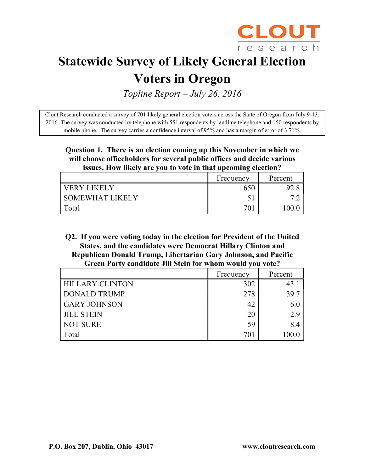

# Statewide Survey of Likely General Election

## Voters in Oregon

Topline Report – July 26, 2016

Clout Research conducted a survey of 701 likely general election voters across the State of Oregon from July 9-13, 2016. The survey was conducted by telephone with 551 respondents by landline telephone and 150 respondents by mobile phone. The survey carries a confidence interval of 95% and has a margin of error of 3.71%.

#### Question 1. There is an election coming up this November in which we will choose officeholders for several public offices and decide various issues. How likely are you to vote in that upcoming election?

|                   | Frequency | Percent |
|-------------------|-----------|---------|
| VERY LIKELY       | 650       |         |
| I SOMEWHAT LIKELY | 51        |         |
| Total             | 701       | 00      |

Q2. If you were voting today in the election for President of the United States, and the candidates were Democrat Hillary Clinton and Republican Donald Trump, Libertarian Gary Johnson, and Pacific Green Party candidate Jill Stein for whom would you vote?

|                        | Frequency | Percent |
|------------------------|-----------|---------|
| <b>HILLARY CLINTON</b> | 302       | 43.     |
| <b>DONALD TRUMP</b>    | 278       | 39.7    |
| <b>GARY JOHNSON</b>    | 42        | 6.0     |
| <b>JILL STEIN</b>      | 20        | 2.9     |
| <b>NOT SURE</b>        | 59        | 8.4     |
| Total                  | 701       | 100.0   |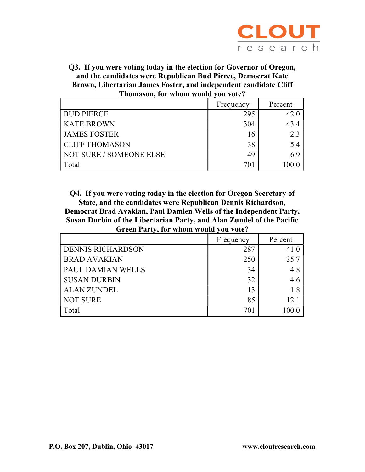

Q3. If you were voting today in the election for Governor of Oregon, and the candidates were Republican Bud Pierce, Democrat Kate Brown, Libertarian James Foster, and independent candidate Cliff Thomason, for whom would you vote?

|                         | Frequency | Percent |
|-------------------------|-----------|---------|
| <b>BUD PIERCE</b>       | 295       | 42.0    |
| <b>KATE BROWN</b>       | 304       | 43.4    |
| <b>JAMES FOSTER</b>     | 16        | 2.3     |
| <b>CLIFF THOMASON</b>   | 38        | 5.4     |
| NOT SURE / SOMEONE ELSE | 49        | 6.9     |
| Total                   | 701       | 100.0   |

Q4. If you were voting today in the election for Oregon Secretary of State, and the candidates were Republican Dennis Richardson, Democrat Brad Avakian, Paul Damien Wells of the Independent Party, Susan Durbin of the Libertarian Party, and Alan Zundel of the Pacific Green Party, for whom would you vote?

|                          | Frequency | Percent |
|--------------------------|-----------|---------|
| <b>DENNIS RICHARDSON</b> | 287       | 41.0    |
| <b>BRAD AVAKIAN</b>      | 250       | 35.7    |
| <b>PAUL DAMIAN WELLS</b> | 34        | 4.8     |
| <b>SUSAN DURBIN</b>      | 32        | 4.6     |
| <b>ALAN ZUNDEL</b>       | 13        | 1.8     |
| <b>NOT SURE</b>          | 85        | 12.1    |
| Total                    | 701       | 100.0   |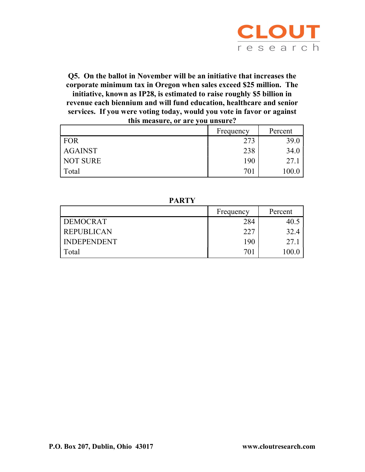

Q5. On the ballot in November will be an initiative that increases the corporate minimum tax in Oregon when sales exceed \$25 million. The initiative, known as IP28, is estimated to raise roughly \$5 billion in revenue each biennium and will fund education, healthcare and senior services. If you were voting today, would you vote in favor or against this measure, or are you unsure?

|                | Frequency | Percent |
|----------------|-----------|---------|
| FOR            | 273       | 39.0    |
| <b>AGAINST</b> | 238       | 34.0    |
| NOT SURE       | 190       | 27.1    |
| Total          | 701       | 100.0   |

PARTY

|                    | Frequency | Percent |
|--------------------|-----------|---------|
| <b>DEMOCRAT</b>    | 284       |         |
| <b>REPUBLICAN</b>  | 227       | 32.4    |
| <b>INDEPENDENT</b> | 190       | 27.1    |
| Total              | 701       |         |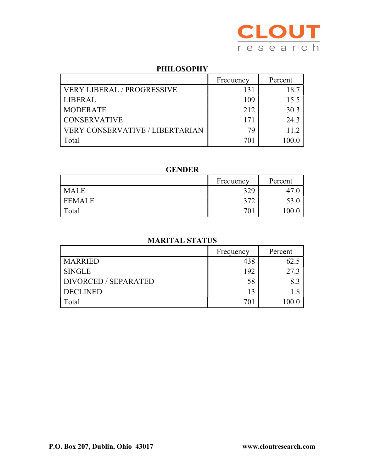

#### PHILOSOPHY

|                                        | Frequency | Percent |
|----------------------------------------|-----------|---------|
| <b>VERY LIBERAL / PROGRESSIVE</b>      | 131       | 18.7    |
| <b>LIBERAL</b>                         | 109       | 15.5    |
| <b>MODERATE</b>                        | 212       | 30.3    |
| <b>CONSERVATIVE</b>                    | 171       | 24.3    |
| <b>VERY CONSERVATIVE / LIBERTARIAN</b> | 70        | 11.2    |
| Total                                  | 701       |         |

#### GENDER

|               | Frequency | Percent |
|---------------|-----------|---------|
| <b>MALE</b>   | 329       | $+$ ,   |
| <b>FEMALE</b> | 272<br>Ć  | 53.0    |
| Total         | 70.       | 100.0   |

#### MARITAL STATUS

|                      | Frequency | Percent |
|----------------------|-----------|---------|
| <b>MARRIED</b>       | 438       | 62.5    |
| <b>SINGLE</b>        | 192       | 27.3    |
| DIVORCED / SEPARATED | 58        | 8.3     |
| <b>DECLINED</b>      | 13        | 1.8     |
| Total                | 701       | 100.0   |